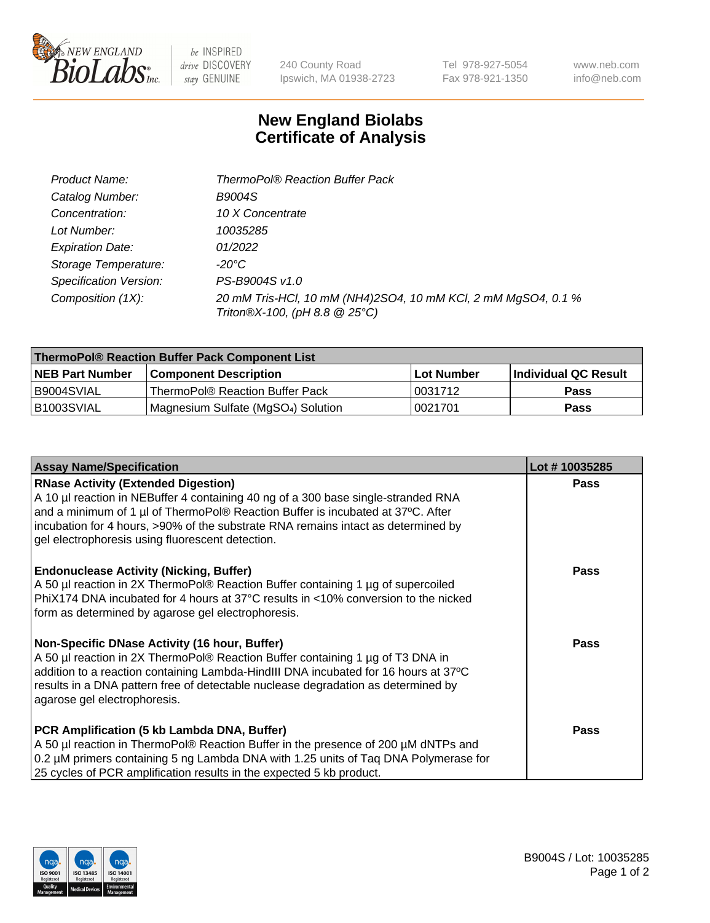

 $be$  INSPIRED drive DISCOVERY stay GENUINE

240 County Road Ipswich, MA 01938-2723

Tel 978-927-5054 Fax 978-921-1350 www.neb.com info@neb.com

## **New England Biolabs Certificate of Analysis**

| Product Name:                 | <b>ThermoPol® Reaction Buffer Pack</b>                                                         |
|-------------------------------|------------------------------------------------------------------------------------------------|
| Catalog Number:               | <b>B9004S</b>                                                                                  |
| Concentration:                | 10 X Concentrate                                                                               |
| Lot Number:                   | 10035285                                                                                       |
| <b>Expiration Date:</b>       | 01/2022                                                                                        |
| Storage Temperature:          | -20°C                                                                                          |
| <b>Specification Version:</b> | PS-B9004S v1.0                                                                                 |
| Composition (1X):             | 20 mM Tris-HCl, 10 mM (NH4)2SO4, 10 mM KCl, 2 mM MgSO4, 0.1 %<br>Triton®X-100, (pH 8.8 @ 25°C) |

| ThermoPol® Reaction Buffer Pack Component List |                                    |            |                             |  |
|------------------------------------------------|------------------------------------|------------|-----------------------------|--|
| <b>INEB Part Number</b>                        | <b>Component Description</b>       | Lot Number | <b>Individual QC Result</b> |  |
| I B9004SVIAL                                   | ThermoPol® Reaction Buffer Pack_   | 0031712    | <b>Pass</b>                 |  |
| IB1003SVIAL                                    | Magnesium Sulfate (MgSO4) Solution | 10021701   | Pass                        |  |

| <b>Assay Name/Specification</b>                                                                                                                                                                                                                                                                                                                             | Lot #10035285 |
|-------------------------------------------------------------------------------------------------------------------------------------------------------------------------------------------------------------------------------------------------------------------------------------------------------------------------------------------------------------|---------------|
| <b>RNase Activity (Extended Digestion)</b><br>A 10 µl reaction in NEBuffer 4 containing 40 ng of a 300 base single-stranded RNA<br>and a minimum of 1 µl of ThermoPol® Reaction Buffer is incubated at 37°C. After<br>incubation for 4 hours, >90% of the substrate RNA remains intact as determined by<br>gel electrophoresis using fluorescent detection. | <b>Pass</b>   |
| <b>Endonuclease Activity (Nicking, Buffer)</b><br>A 50 µl reaction in 2X ThermoPol® Reaction Buffer containing 1 µg of supercoiled<br>PhiX174 DNA incubated for 4 hours at 37°C results in <10% conversion to the nicked<br>form as determined by agarose gel electrophoresis.                                                                              | <b>Pass</b>   |
| Non-Specific DNase Activity (16 hour, Buffer)<br>A 50 µl reaction in 2X ThermoPol® Reaction Buffer containing 1 µg of T3 DNA in<br>addition to a reaction containing Lambda-HindIII DNA incubated for 16 hours at 37°C<br>results in a DNA pattern free of detectable nuclease degradation as determined by<br>agarose gel electrophoresis.                 | <b>Pass</b>   |
| PCR Amplification (5 kb Lambda DNA, Buffer)<br>A 50 µl reaction in ThermoPol® Reaction Buffer in the presence of 200 µM dNTPs and<br>0.2 µM primers containing 5 ng Lambda DNA with 1.25 units of Tag DNA Polymerase for<br>25 cycles of PCR amplification results in the expected 5 kb product.                                                            | <b>Pass</b>   |